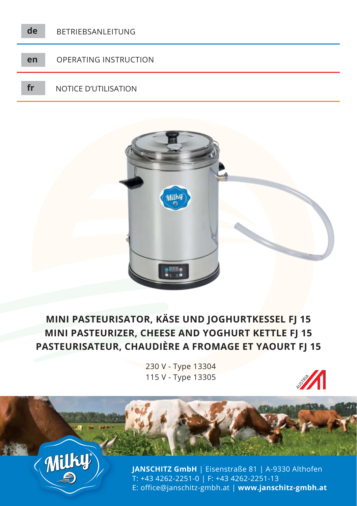



# **MINI PASTEURISATOR, KÄSE UND JOGHURTKESSEL FJ 15 MINI PASTEURIZER, CHEESE AND YOGHURT KETTLE FJ 15 PASTEURISATEUR, CHAUDIÈRE A FROMAGE ET YAOURT FJ 15**

230 V - Type 13304 115 V - Type 13305





**JANSCHITZ GmbH** | Eisenstraße 81 | A-9330 Althofen T: +43 4262-2251-0 | F: +43 4262-2251-13 E: office@janschitz-gmbh.at | **www.janschitz-gmbh.at**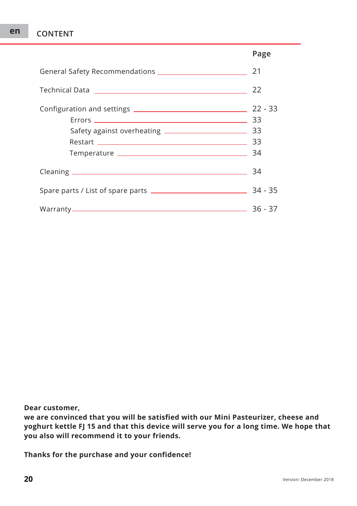## **en CONTENT**

|                                                              | Page |
|--------------------------------------------------------------|------|
| General Safety Recommendations <b>Safety</b> Recommendations | 21   |
|                                                              | 22   |
| Restart 2000 23                                              |      |
|                                                              | 34   |
|                                                              |      |
|                                                              |      |

**Dear customer,**

**we are convinced that you will be satisfied with our Mini Pasteurizer, cheese and yoghurt kettle FJ 15 and that this device will serve you for a long time. We hope that you also will recommend it to your friends.**

**Thanks for the purchase and your confidence!**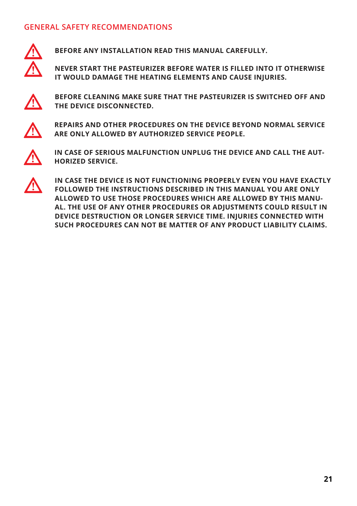### **GENERAL SAFETY RECOMMENDATIONS**



**BEFORE ANY INSTALLATION READ THIS MANUAL CAREFULLY.**

**NEVER START THE PASTEURIZER BEFORE WATER IS FILLED INTO IT OTHERWISE IT WOULD DAMAGE THE HEATING ELEMENTS AND CAUSE INJURIES.**



**BEFORE CLEANING MAKE SURE THAT THE PASTEURIZER IS SWITCHED OFF AND THE DEVICE DISCONNECTED.**



**REPAIRS AND OTHER PROCEDURES ON THE DEVICE BEYOND NORMAL SERVICE ARE ONLY ALLOWED BY AUTHORIZED SERVICE PEOPLE.**



**IN CASE OF SERIOUS MALFUNCTION UNPLUG THE DEVICE AND CALL THE AUT-HORIZED SERVICE.**



**IN CASE THE DEVICE IS NOT FUNCTIONING PROPERLY EVEN YOU HAVE EXACTLY FOLLOWED THE INSTRUCTIONS DESCRIBED IN THIS MANUAL YOU ARE ONLY ALLOWED TO USE THOSE PROCEDURES WHICH ARE ALLOWED BY THIS MANU-AL. THE USE OF ANY OTHER PROCEDURES OR ADJUSTMENTS COULD RESULT IN DEVICE DESTRUCTION OR LONGER SERVICE TIME. INJURIES CONNECTED WITH SUCH PROCEDURES CAN NOT BE MATTER OF ANY PRODUCT LIABILITY CLAIMS.**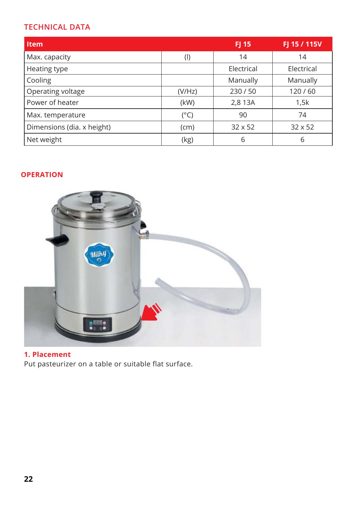### **TECHNICAL DATA**

| <b>Item</b>                |               | FJ 15          | FJ 15 / 115V   |
|----------------------------|---------------|----------------|----------------|
| Max. capacity              | $($ l         | 14             | 14             |
| Heating type               |               | Electrical     | Electrical     |
| Cooling                    |               | Manually       | Manually       |
| Operating voltage          | (V/Hz)        | 230/50         | 120/60         |
| Power of heater            | (kW)          | 2,8 13A        | 1,5k           |
| Max. temperature           | $(^{\circ}C)$ | 90             | 74             |
| Dimensions (dia. x height) | (cm)          | $32 \times 52$ | $32 \times 52$ |
| Net weight                 | (kg)          | 6              | 6              |

### **OPERATION**



### **1. Placement**

Put pasteurizer on a table or suitable flat surface.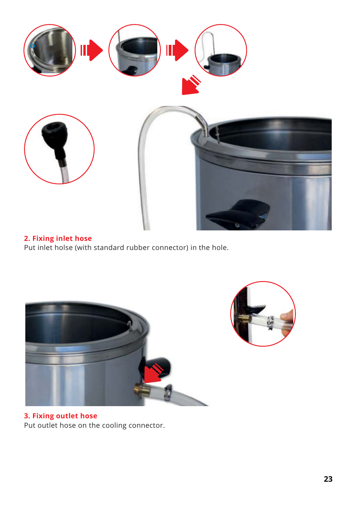

### **2. Fixing inlet hose**

Put inlet holse (with standard rubber connector) in the hole.





**3. Fixing outlet hose** Put outlet hose on the cooling connector.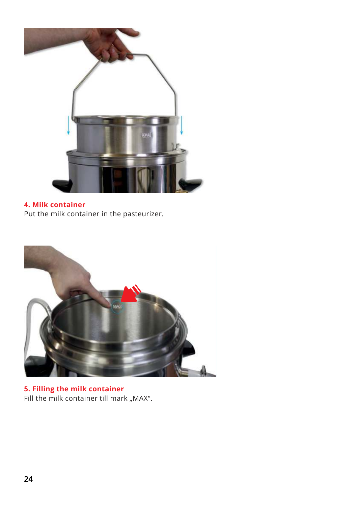

### **4. Milk container**

Put the milk container in the pasteurizer.



**5. Filling the milk container** Fill the milk container till mark "MAX".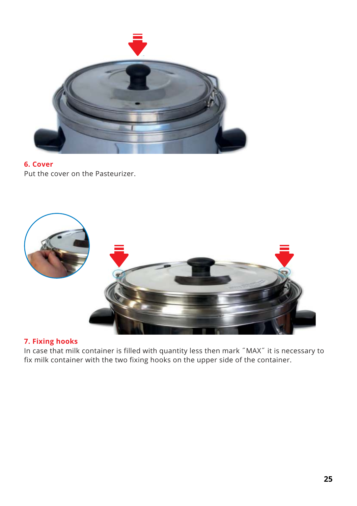

#### **6. Cover** Put the cover on the Pasteurizer.



### **7. Fixing hooks**

In case that milk container is filled with quantity less then mark ˝MAX˝ it is necessary to fix milk container with the two fixing hooks on the upper side of the container.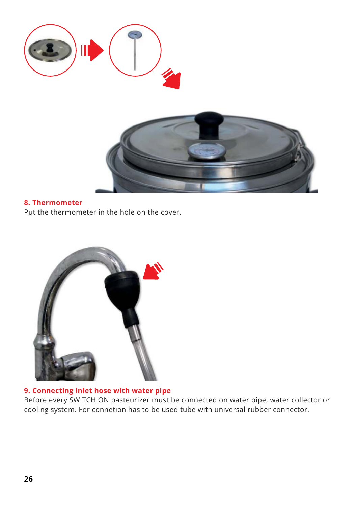

#### **8. Thermometer**

Put the thermometer in the hole on the cover.



### **9. Connecting inlet hose with water pipe**

Before every SWITCH ON pasteurizer must be connected on water pipe, water collector or cooling system. For connetion has to be used tube with universal rubber connector.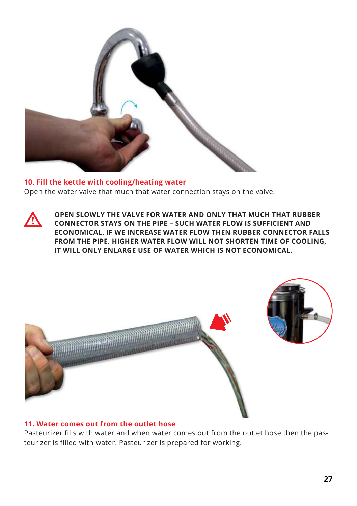

**10. Fill the kettle with cooling/heating water** Open the water valve that much that water connection stays on the valve.



**OPEN SLOWLY THE VALVE FOR WATER AND ONLY THAT MUCH THAT RUBBER CONNECTOR STAYS ON THE PIPE – SUCH WATER FLOW IS SUFFICIENT AND ECONOMICAL. IF WE INCREASE WATER FLOW THEN RUBBER CONNECTOR FALLS FROM THE PIPE. HIGHER WATER FLOW WILL NOT SHORTEN TIME OF COOLING, IT WILL ONLY ENLARGE USE OF WATER WHICH IS NOT ECONOMICAL.**



#### **11. Water comes out from the outlet hose**

Pasteurizer fills with water and when water comes out from the outlet hose then the pasteurizer is filled with water. Pasteurizer is prepared for working.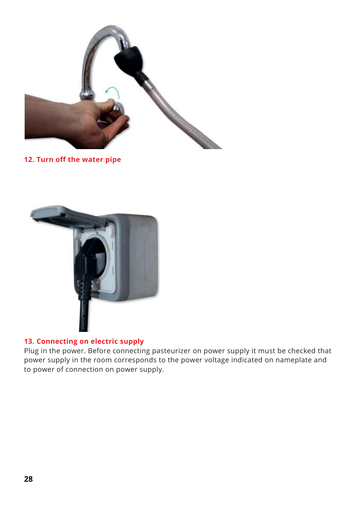

**12. Turn off the water pipe**



### **13. Connecting on electric supply**

Plug in the power. Before connecting pasteurizer on power supply it must be checked that power supply in the room corresponds to the power voltage indicated on nameplate and to power of connection on power supply.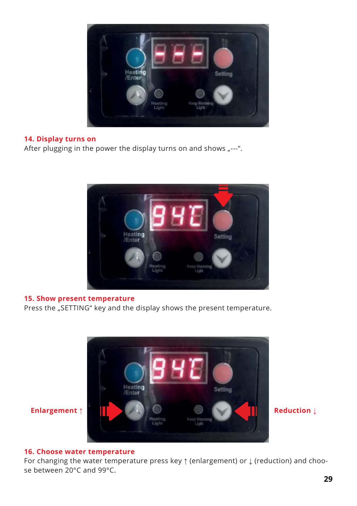

#### **14. Display turns on**

After plugging in the power the display turns on and shows  $n^{--}.$ 



#### **15. Show present temperature**

Press the "SETTING" key and the display shows the present temperature.



#### **16. Choose water temperature**

For changing the water temperature press key ↑ (enlargement) or ↓ (reduction) and choose between 20°C and 99°C.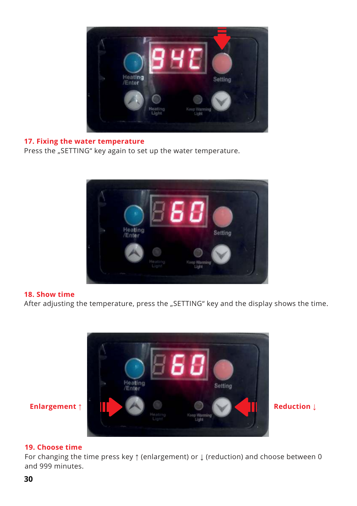

### **17. Fixing the water temperature**

Press the "SETTING" key again to set up the water temperature.



#### **18. Show time**

After adjusting the temperature, press the "SETTING" key and the display shows the time.



#### **19. Choose time**

For changing the time press key ↑ (enlargement) or ↓ (reduction) and choose between 0 and 999 minutes.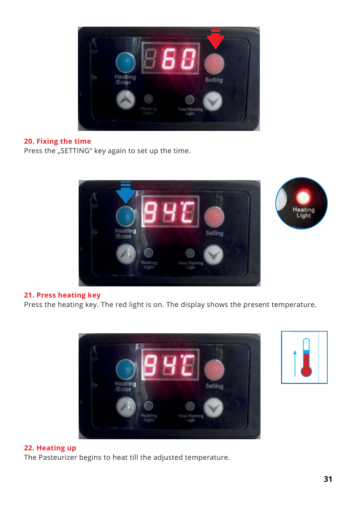

#### **20. Fixing the time**

Press the "SETTING" key again to set up the time.



### **21. Press heating key**

Press the heating key. The red light is on. The display shows the present temperature.





#### **22. Heating up**

The Pasteurizer begins to heat till the adjusted temperature.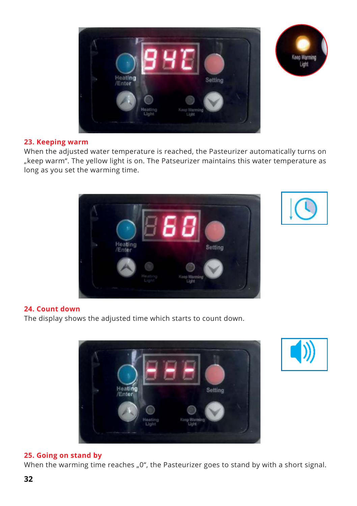



#### **23. Keeping warm**

When the adjusted water temperature is reached, the Pasteurizer automatically turns on "keep warm". The yellow light is on. The Patseurizer maintains this water temperature as long as you set the warming time.





#### **24. Count down**

The display shows the adjusted time which starts to count down.





#### **25. Going on stand by**

When the warming time reaches "0", the Pasteurizer goes to stand by with a short signal.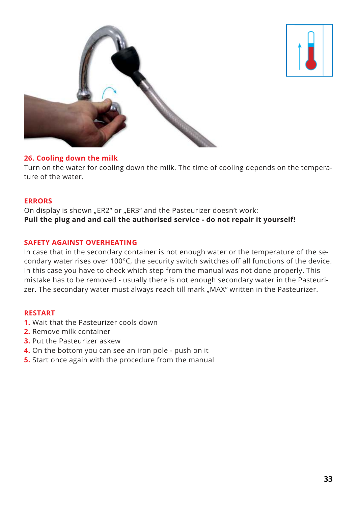



#### **26. Cooling down the milk**

Turn on the water for cooling down the milk. The time of cooling depends on the temperature of the water.

#### **ERRORS**

On display is shown "ER2" or "ER3" and the Pasteurizer doesn't work: **Pull the plug and and call the authorised service - do not repair it yourself!**

#### **SAFETY AGAINST OVERHEATING**

In case that in the secondary container is not enough water or the temperature of the secondary water rises over 100°C, the security switch switches off all functions of the device. In this case you have to check which step from the manual was not done properly. This mistake has to be removed - usually there is not enough secondary water in the Pasteurizer. The secondary water must always reach till mark "MAX" written in the Pasteurizer.

#### **RESTART**

- **1.** Wait that the Pasteurizer cools down
- **2.** Remove milk container
- **3.** Put the Pasteurizer askew
- **4.** On the bottom you can see an iron pole push on it
- **5.** Start once again with the procedure from the manual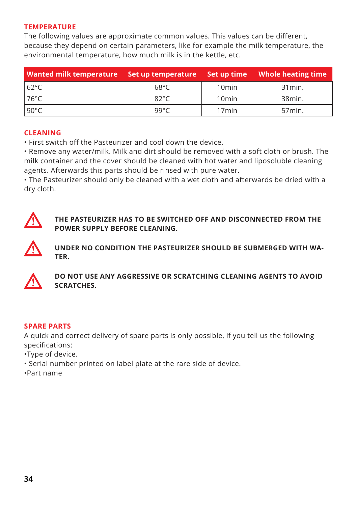#### **TEMPERATURE**

The following values are approximate common values. This values can be different, because they depend on certain parameters, like for example the milk temperature, the environmental temperature, how much milk is in the kettle, etc.

| Wanted milk temperature bet up temperature bet up time Whole heating time |                |                   |                   |
|---------------------------------------------------------------------------|----------------|-------------------|-------------------|
| 62°C                                                                      | 68°C           | 10 <sub>min</sub> | 31 min.           |
| $176^{\circ}$ C                                                           | $82^{\circ}$ C | 10 <sub>min</sub> | 38min.            |
| 190°C                                                                     | 99°C           | 17 <sub>min</sub> | 57 <sub>min</sub> |

#### **CLEANING**

• First switch off the Pasteurizer and cool down the device.

• Remove any water/milk. Milk and dirt should be removed with a soft cloth or brush. The milk container and the cover should be cleaned with hot water and liposoluble cleaning agents. Afterwards this parts should be rinsed with pure water.

• The Pasteurizer should only be cleaned with a wet cloth and afterwards be dried with a dry cloth.



**THE PASTEURIZER HAS TO BE SWITCHED OFF AND DISCONNECTED FROM THE POWER SUPPLY BEFORE CLEANING.**



**UNDER NO CONDITION THE PASTEURIZER SHOULD BE SUBMERGED WITH WA-TER.**



**DO NOT USE ANY AGGRESSIVE OR SCRATCHING CLEANING AGENTS TO AVOID SCRATCHES.**

#### **SPARE PARTS**

A quick and correct delivery of spare parts is only possible, if you tell us the following specifications:

- •Type of device.
- Serial number printed on label plate at the rare side of device.
- •Part name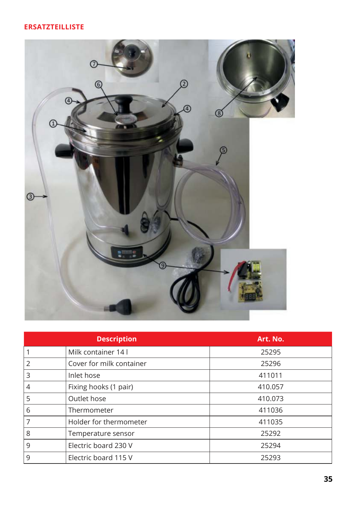### **ERSATZTEILLISTE**



|                | <b>Description</b>       | Art. No. |
|----------------|--------------------------|----------|
| 1              | Milk container 14 l      | 25295    |
| $\overline{2}$ | Cover for milk container | 25296    |
| 3              | Inlet hose               | 411011   |
| 4              | Fixing hooks (1 pair)    | 410.057  |
| 5              | Outlet hose              | 410.073  |
| 6              | Thermometer              | 411036   |
| 7              | Holder for thermometer   | 411035   |
| 8              | Temperature sensor       | 25292    |
| 9              | Electric board 230 V     | 25294    |
| 9              | Electric board 115 V     | 25293    |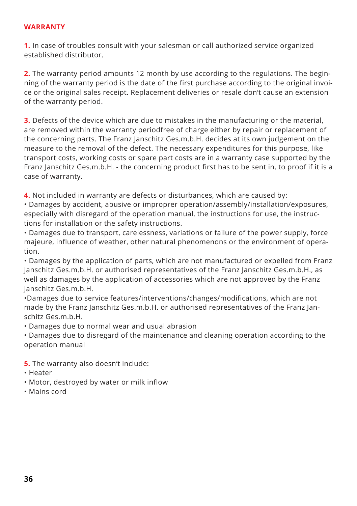#### **WARRANTY**

**1.** In case of troubles consult with your salesman or call authorized service organized established distributor.

**2.** The warranty period amounts 12 month by use according to the regulations. The beginning of the warranty period is the date of the first purchase according to the original invoice or the original sales receipt. Replacement deliveries or resale don't cause an extension of the warranty period.

**3.** Defects of the device which are due to mistakes in the manufacturing or the material, are removed within the warranty periodfree of charge either by repair or replacement of the concerning parts. The Franz Janschitz Ges.m.b.H. decides at its own judgement on the measure to the removal of the defect. The necessary expenditures for this purpose, like transport costs, working costs or spare part costs are in a warranty case supported by the Franz Janschitz Ges.m.b.H. - the concerning product first has to be sent in, to proof if it is a case of warranty.

**4.** Not included in warranty are defects or disturbances, which are caused by:

• Damages by accident, abusive or improprer operation/assembly/installation/exposures, especially with disregard of the operation manual, the instructions for use, the instructions for installation or the safety instructions.

• Damages due to transport, carelessness, variations or failure of the power supply, force majeure, influence of weather, other natural phenomenons or the environment of operation.

• Damages by the application of parts, which are not manufactured or expelled from Franz Janschitz Ges.m.b.H. or authorised representatives of the Franz Janschitz Ges.m.b.H., as well as damages by the application of accessories which are not approved by the Franz Janschitz Ges.m.b.H.

•Damages due to service features/interventions/changes/modifications, which are not made by the Franz Janschitz Ges.m.b.H. or authorised representatives of the Franz Janschitz Ges.m.b.H.

• Damages due to normal wear and usual abrasion

• Damages due to disregard of the maintenance and cleaning operation according to the operation manual

**5.** The warranty also doesn't include:

- Heater
- Motor, destroyed by water or milk inflow
- Mains cord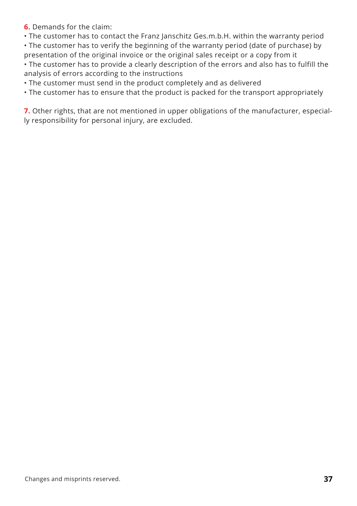**6.** Demands for the claim:

• The customer has to contact the Franz Janschitz Ges.m.b.H. within the warranty period

• The customer has to verify the beginning of the warranty period (date of purchase) by presentation of the original invoice or the original sales receipt or a copy from it

• The customer has to provide a clearly description of the errors and also has to fulfill the analysis of errors according to the instructions

• The customer must send in the product completely and as delivered

• The customer has to ensure that the product is packed for the transport appropriately

**7.** Other rights, that are not mentioned in upper obligations of the manufacturer, especially responsibility for personal injury, are excluded.